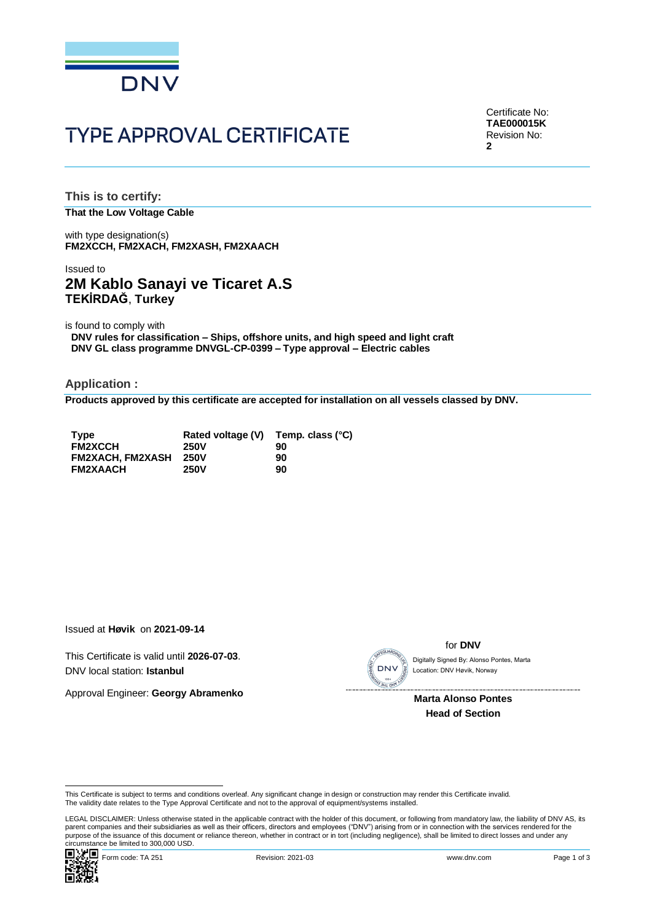

# **TYPE APPROVAL CERTIFICATE**

Certificate No: **TAE000015K** Revision No: **2**

**This is to certify: That the Low Voltage Cable**

with type designation(s) **FM2XCCH, FM2XACH, FM2XASH, FM2XAACH**

### Issued to **2M Kablo Sanayi ve Ticaret A.S TEKİRDAĞ**, **Turkey**

is found to comply with

**DNV rules for classification – Ships, offshore units, and high speed and light craft DNV GL class programme DNVGL-CP-0399 – Type approval – Electric cables**

**Application :**

**Products approved by this certificate are accepted for installation on all vessels classed by DNV.**

| <b>Type</b>             | Rated voltage (V) | Temp. class (°C) |
|-------------------------|-------------------|------------------|
| <b>FM2XCCH</b>          | <b>250V</b>       | 90               |
| <b>FM2XACH. FM2XASH</b> | 250V              | 90               |
| <b>FM2XAACH</b>         | <b>250V</b>       | 90               |

Issued at **Høvik** on **2021-09-14**

This Certificate is valid until **2026-07-03**. DNV local station: **Istanbul**

Approval Engineer: **Georgy Abramenko**



for **DNV**

Location: DNV Høvik, Norway

**Marta Alonso Pontes Head of Section**

This Certificate is subject to terms and conditions overleaf. Any significant change in design or construction may render this Certificate invalid.<br>The validity date relates to the Type Approval Certificate and not to the

Cilicumstance be immedial positions occur.<br>
■ Magnology Form code: TA 251 Revision: 2021-03 www.dnv.com Page 1 of 3 LEGAL DISCLAIMER: Unless otherwise stated in the applicable contract with the holder of this document, or following from mandatory law, the liability of DNV AS, its parent companies and their subsidiaries as well as their officers, directors and employees ("DNV") arising from or in connection with the services rendered for the purpose of the issuance of this document or reliance thereon, whether in contract or in tort (including negligence), shall be limited to direct losses and under any purpose of the issuance of this document or reliance ther Circumstance is valid dintrivial and the subset of the standard and the standard Circumstance be limited to 300,000 USD.<br>
Digitally Signed By: Alonso Pontes<br>
Marta Alonso Pontes<br>
Marta Alonso Pontes<br>
Head of Section<br>
This

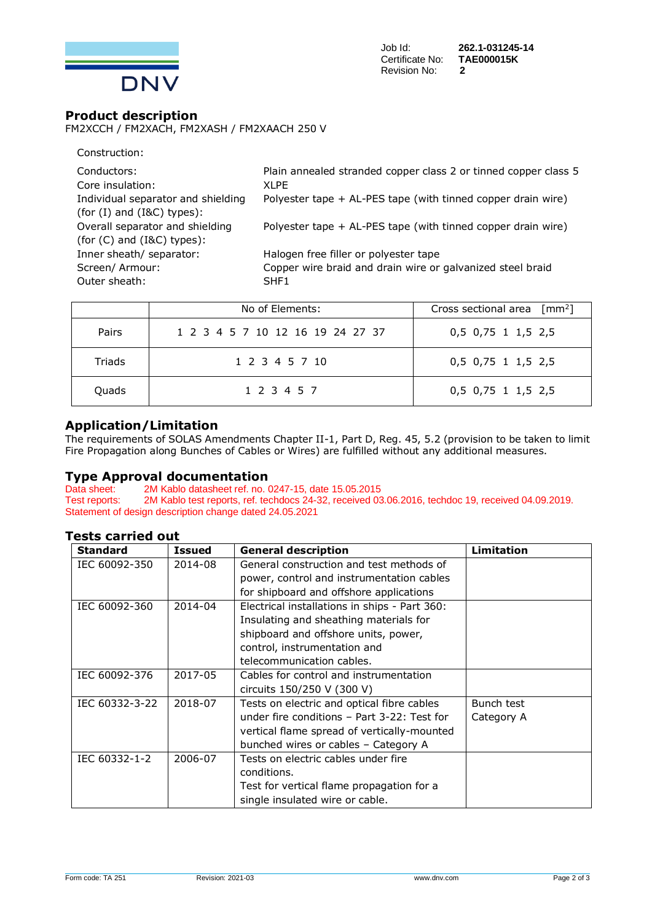

### **Product description**

FM2XCCH / FM2XACH, FM2XASH / FM2XAACH 250 V

| Construction:                      |                                                                 |
|------------------------------------|-----------------------------------------------------------------|
| Conductors:                        | Plain annealed stranded copper class 2 or tinned copper class 5 |
| Core insulation:                   | XI PF                                                           |
| Individual separator and shielding | Polyester tape + AL-PES tape (with tinned copper drain wire)    |
| (for $(I)$ and $(I & C)$ types):   |                                                                 |
| Overall separator and shielding    | Polyester tape + AL-PES tape (with tinned copper drain wire)    |
| (for $(C)$ and $(IRC)$ types):     |                                                                 |
| Inner sheath/ separator:           | Halogen free filler or polyester tape                           |
| Screen/ Armour:                    | Copper wire braid and drain wire or galvanized steel braid      |
| Outer sheath:                      | SHF1                                                            |
|                                    |                                                                 |

|        | No of Elements:                  | Cross sectional area $\lceil mm^2 \rceil$ |
|--------|----------------------------------|-------------------------------------------|
| Pairs  | 1 2 3 4 5 7 10 12 16 19 24 27 37 | 0,5 0,75 1 1,5 2,5                        |
| Triads | 1 2 3 4 5 7 10                   | 0,5 0,75 1 1,5 2,5                        |
| Quads  | 1 2 3 4 5 7                      | 0,5 0,75 1 1,5 2,5                        |

## **Application/Limitation**

The requirements of SOLAS Amendments Chapter II-1, Part D, Reg. 45, 5.2 (provision to be taken to limit Fire Propagation along Bunches of Cables or Wires) are fulfilled without any additional measures.

# **Type Approval documentation**<br>Data sheet: 2M Kablo datasheet ref. no. 0

Data sheet: 2M Kablo datasheet ref. no. 0247-15, date 15.05.2015<br>Test reports: 2M Kablo test reports, ref. techdocs 24-32, received 03 2M Kablo test reports, ref. techdocs 24-32, received 03.06.2016, techdoc 19, received 04.09.2019. Statement of design description change dated 24.05.2021

### **Tests carried out**

| <b>Standard</b> | <b>Issued</b> | <b>General description</b>                    | Limitation |
|-----------------|---------------|-----------------------------------------------|------------|
| IEC 60092-350   | 2014-08       | General construction and test methods of      |            |
|                 |               | power, control and instrumentation cables     |            |
|                 |               | for shipboard and offshore applications       |            |
| IEC 60092-360   | 2014-04       | Electrical installations in ships - Part 360: |            |
|                 |               | Insulating and sheathing materials for        |            |
|                 |               | shipboard and offshore units, power,          |            |
|                 |               | control, instrumentation and                  |            |
|                 |               | telecommunication cables.                     |            |
| IEC 60092-376   | 2017-05       | Cables for control and instrumentation        |            |
|                 |               | circuits 150/250 V (300 V)                    |            |
| IEC 60332-3-22  | 2018-07       | Tests on electric and optical fibre cables    | Bunch test |
|                 |               | under fire conditions - Part 3-22: Test for   | Category A |
|                 |               | vertical flame spread of vertically-mounted   |            |
|                 |               | bunched wires or cables - Category A          |            |
| IEC 60332-1-2   | 2006-07       | Tests on electric cables under fire           |            |
|                 |               | conditions.                                   |            |
|                 |               | Test for vertical flame propagation for a     |            |
|                 |               | single insulated wire or cable.               |            |